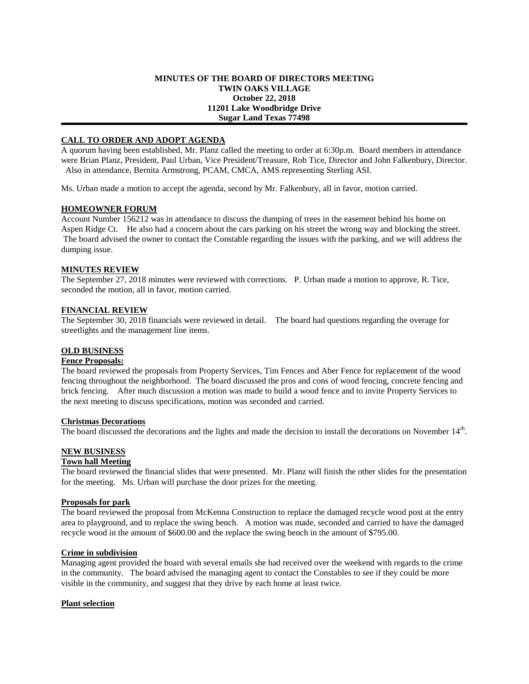### **MINUTES OF THE BOARD OF DIRECTORS MEETING TWIN OAKS VILLAGE October 22, 2018 11201 Lake Woodbridge Drive Sugar Land Texas 77498**

## **CALL TO ORDER AND ADOPT AGENDA**

A quorum having been established, Mr. Planz called the meeting to order at 6:30p.m. Board members in attendance were Brian Planz, President, Paul Urban, Vice President/Treasure, Rob Tice, Director and John Falkenbury, Director. Also in attendance, Bernita Armstrong, PCAM, CMCA, AMS representing Sterling ASI.

Ms. Urban made a motion to accept the agenda, second by Mr. Falkenbury, all in favor, motion carried.

## **HOMEOWNER FORUM**

Account Number 156212 was in attendance to discuss the dumping of trees in the easement behind his home on Aspen Ridge Ct. He also had a concern about the cars parking on his street the wrong way and blocking the street. The board advised the owner to contact the Constable regarding the issues with the parking, and we will address the dumping issue.

## **MINUTES REVIEW**

The September 27, 2018 minutes were reviewed with corrections. P. Urban made a motion to approve, R. Tice, seconded the motion, all in favor, motion carried.

#### **FINANCIAL REVIEW**

The September 30, 2018 financials were reviewed in detail. The board had questions regarding the overage for streetlights and the management line items.

## **OLD BUSINESS**

## **Fence Proposals:**

The board reviewed the proposals from Property Services, Tim Fences and Aber Fence for replacement of the wood fencing throughout the neighborhood. The board discussed the pros and cons of wood fencing, concrete fencing and brick fencing. After much discussion a motion was made to build a wood fence and to invite Property Services to the next meeting to discuss specifications, motion was seconded and carried.

#### **Christmas Decorations**

The board discussed the decorations and the lights and made the decision to install the decorations on November 14<sup>th</sup>.

# **NEW BUSINESS**

## **Town hall Meeting**

The board reviewed the financial slides that were presented. Mr. Planz will finish the other slides for the presentation for the meeting. Ms. Urban will purchase the door prizes for the meeting.

#### **Proposals for park**

The board reviewed the proposal from McKenna Construction to replace the damaged recycle wood post at the entry area to playground, and to replace the swing bench. A motion was made, seconded and carried to have the damaged recycle wood in the amount of \$600.00 and the replace the swing bench in the amount of \$795.00.

#### **Crime in subdivision**

Managing agent provided the board with several emails she had received over the weekend with regards to the crime in the community. The board advised the managing agent to contact the Constables to see if they could be more visible in the community, and suggest that they drive by each home at least twice.

## **Plant selection**